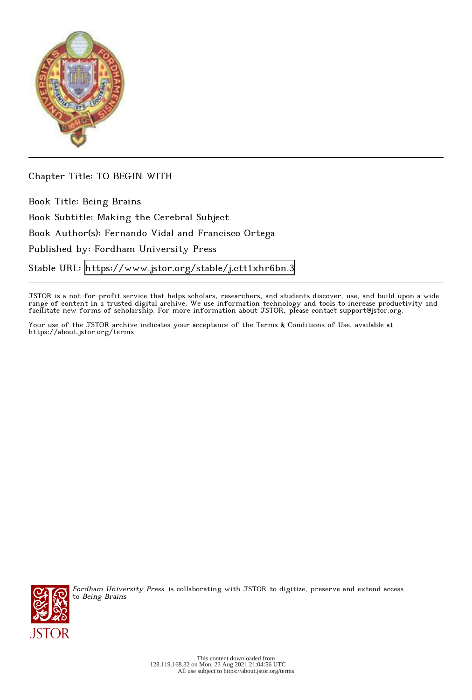

Chapter Title: TO BEGIN WITH

Book Title: Being Brains Book Subtitle: Making the Cerebral Subject Book Author(s): Fernando Vidal and Francisco Ortega Published by: Fordham University Press Stable URL:<https://www.jstor.org/stable/j.ctt1xhr6bn.3>

JSTOR is a not-for-profit service that helps scholars, researchers, and students discover, use, and build upon a wide range of content in a trusted digital archive. We use information technology and tools to increase productivity and facilitate new forms of scholarship. For more information about JSTOR, please contact support@jstor.org.

Your use of the JSTOR archive indicates your acceptance of the Terms & Conditions of Use, available at https://about.jstor.org/terms



Fordham University Press is collaborating with JSTOR to digitize, preserve and extend access to Being Brains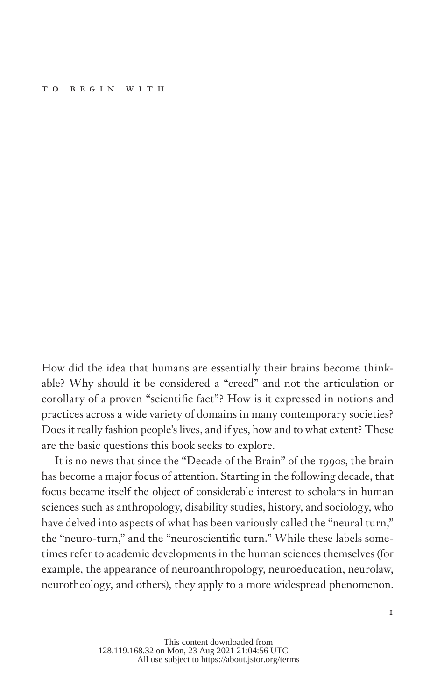## To Begin With

How did the idea that humans are essentially their brains become thinkable? Why should it be considered a "creed" and not the articulation or corollary of a proven "scientific fact"? How is it expressed in notions and practices across a wide variety of domains in many contemporary societies? Does it really fashion people's lives, and if yes, how and to what extent? These are the basic questions this book seeks to explore.

It is no news that since the "Decade of the Brain" of the 1990s, the brain has become a major focus of attention. Starting in the following decade, that focus became itself the object of considerable interest to scholars in human sciences such as anthropology, disability studies, history, and sociology, who have delved into aspects of what has been variously called the "neural turn," the "neuro-turn," and the "neuroscientific turn." While these labels sometimes refer to academic developments in the human sciences themselves (for example, the appearance of neuroanthropology, neuroeducation, neurolaw, neurotheology, and others), they apply to a more widespread phenomenon.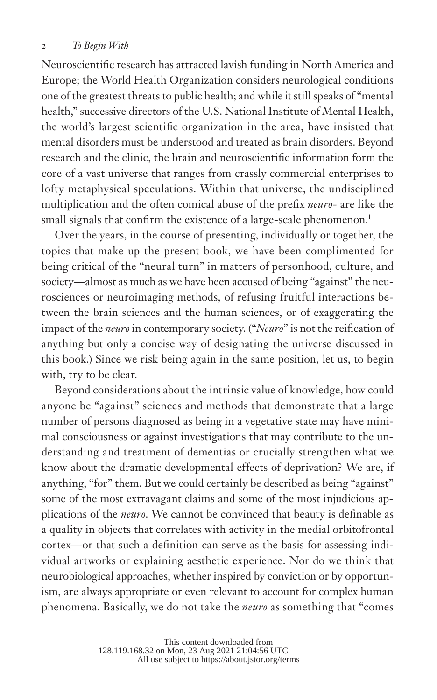Neuroscientific research has attracted lavish funding in North America and Europe; the World Health Organization considers neurological conditions one of the greatest threats to public health; and while it still speaks of " mental health," successive directors of the U.S. National Institute of Mental Health, the world's largest scientific organization in the area, have insisted that mental disorders must be understood and treated as brain disorders. Beyond research and the clinic, the brain and neuroscientific information form the core of a vast universe that ranges from crassly commercial enterprises to lofty metaphysical speculations. Within that universe, the undisciplined multiplication and the often comical abuse of the prefix *neuro-* are like the small signals that confirm the existence of a large-scale phenomenon.<sup>1</sup>

Over the years, in the course of presenting, individually or together, the topics that make up the present book, we have been complimented for being critical of the "neural turn" in matters of personhood, culture, and society— almost as much as we have been accused of being "against" the neurosciences or neuroimaging methods, of refusing fruitful interactions between the brain sciences and the human sciences, or of exaggerating the impact of the *neuro* in contemporary society. ("*Neuro*" is not the reification of anything but only a concise way of designating the universe discussed in this book.) Since we risk being again in the same position, let us, to begin with, try to be clear.

Beyond considerations about the intrinsic value of knowledge, how could anyone be "against" sciences and methods that demonstrate that a large number of persons diagnosed as being in a vegetative state may have minimal consciousness or against investigations that may contribute to the understanding and treatment of dementias or crucially strengthen what we know about the dramatic developmental effects of deprivation? We are, if anything, "for" them. But we could certainly be described as being "against" some of the most extravagant claims and some of the most injudicious applications of the *neuro*. We cannot be convinced that beauty is definable as a quality in objects that correlates with activity in the medial orbitofrontal cortex—or that such a definition can serve as the basis for assessing individual artworks or explaining aesthetic experience. Nor do we think that neurobiological approaches, whether inspired by conviction or by opportunism, are always appropriate or even relevant to account for complex human phenomena. Basically, we do not take the *neuro* as something that "comes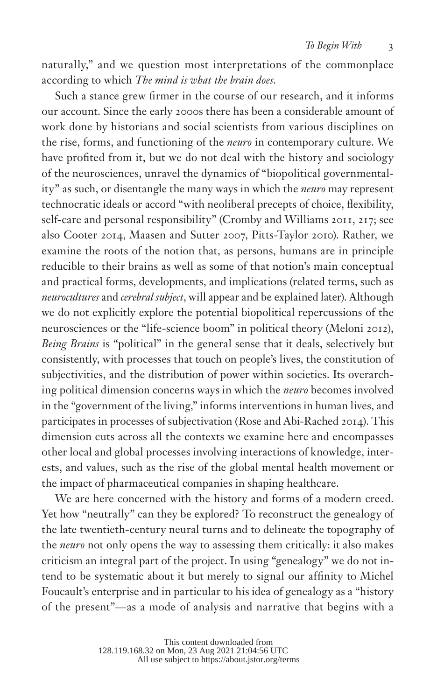naturally," and we question most interpretations of the commonplace according to which *The mind is what the brain does*.

Such a stance grew firmer in the course of our research, and it informs our account. Since the early 2000s there has been a considerable amount of work done by historians and social scientists from various disciplines on the rise, forms, and functioning of the *neuro* in contemporary culture. We have profited from it, but we do not deal with the history and sociology of the neurosciences, unravel the dynamics of "biopolitical governmentality" as such, or disentangle the many ways in which the *neuro* may represent technocratic ideals or accord "with neoliberal precepts of choice, flexibility, self-care and personal responsibility" (Cromby and Williams 2011, 217; see also Cooter 2014, Maasen and Sutter 2007, Pitts-Taylor 2010). Rather, we examine the roots of the notion that, as persons, humans are in principle reducible to their brains as well as some of that notion's main conceptual and practical forms, developments, and implications (related terms, such as *neurocultures* and *cerebral subject*, will appear and be explained later). Although we do not explicitly explore the potential biopolitical repercussions of the neurosciences or the "life-science boom" in political theory (Meloni 2012), *Being Brains* is "political" in the general sense that it deals, selectively but consistently, with processes that touch on people's lives, the constitution of subjectivities, and the distribution of power within societies. Its overarching political dimension concerns ways in which the *neuro* becomes involved in the "government of the living," informs interventions in human lives, and participates in processes of subjectivation (Rose and Abi-Rached 2014). This dimension cuts across all the contexts we examine here and encompasses other local and global processes involving interactions of knowledge, interests, and values, such as the rise of the global mental health movement or the impact of pharmaceutical companies in shaping healthcare.

We are here concerned with the history and forms of a modern creed. Yet how "neutrally" can they be explored? To reconstruct the genealogy of the late twentieth- century neural turns and to delineate the topography of the *neuro* not only opens the way to assessing them critically: it also makes criticism an integral part of the project. In using "genealogy" we do not intend to be systematic about it but merely to signal our affinity to Michel Foucault's enterprise and in particular to his idea of genealogy as a "history of the present"—as a mode of analysis and narrative that begins with a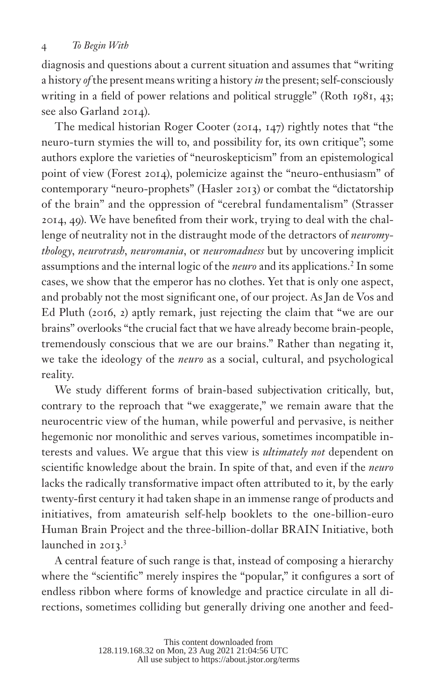diagnosis and questions about a current situation and assumes that "writing a history *of* the present means writing a history *in* the present; self-consciously writing in a field of power relations and political struggle" (Roth  $1981, 43$ ; see also Garland 2014).

The medical historian Roger Cooter (2014, 147) rightly notes that "the neuro- turn stymies the will to, and possibility for, its own critique"; some authors explore the varieties of "neuroskepticism" from an epistemological point of view (Forest 2014), polemicize against the "neuro-enthusiasm" of contemporary "neuro-prophets" (Hasler 2013) or combat the "dictatorship of the brain" and the oppression of "cerebral fundamentalism" (Strasser 2014, 49). We have benefited from their work, trying to deal with the challenge of neutrality not in the distraught mode of the detractors of *neuromythology*, *neurotrash*, *neuromania*, or *neuromadness* but by uncovering implicit assumptions and the internal logic of the *neuro* and its applications.2 In some cases, we show that the emperor has no clothes. Yet that is only one aspect, and probably not the most significant one, of our project. As Jan de Vos and Ed Pluth (2016, 2) aptly remark, just rejecting the claim that "we are our brains" overlooks "the crucial fact that we have already become brain- people, tremendously conscious that we are our brains." Rather than negating it, we take the ideology of the *neuro* as a social, cultural, and psychological reality.

We study different forms of brain-based subjectivation critically, but, contrary to the reproach that "we exaggerate," we remain aware that the neurocentric view of the human, while power ful and pervasive, is neither hegemonic nor monolithic and serves various, sometimes incompatible interests and values. We argue that this view is *ultimately not* dependent on scientific knowledge about the brain. In spite of that, and even if the *neuro* lacks the radically transformative impact often attributed to it, by the early twenty-first century it had taken shape in an immense range of products and initiatives, from amateurish self-help booklets to the one-billion-euro Human Brain Project and the three-billion-dollar BRAIN Initiative, both launched in 2013.<sup>3</sup>

A central feature of such range is that, instead of composing a hierarchy where the "scientific" merely inspires the "popular," it configures a sort of endless ribbon where forms of knowledge and practice circulate in all directions, sometimes colliding but generally driving one another and feed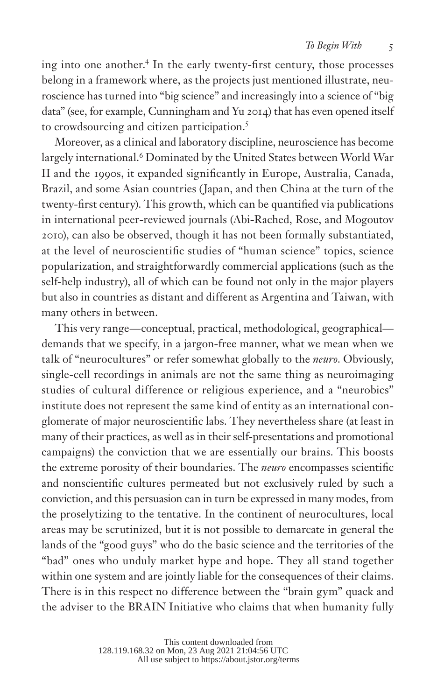ing into one another.<sup>4</sup> In the early twenty-first century, those processes belong in a framework where, as the projects just mentioned illustrate, neuroscience has turned into "big science" and increasingly into a science of "big data" (see, for example, Cunningham and Yu 2014) that has even opened itself to crowdsourcing and citizen participation.<sup>5</sup>

Moreover, as a clinical and laboratory discipline, neuroscience has become largely international.<sup>6</sup> Dominated by the United States between World War II and the 1990s, it expanded significantly in Europe, Australia, Canada, Brazil, and some Asian countries (Japan, and then China at the turn of the twenty- first century). This growth, which can be quantified via publications in international peer-reviewed journals (Abi-Rached, Rose, and Mogoutov 2010), can also be observed, though it has not been formally substantiated, at the level of neuroscientific studies of "human science" topics, science popularization, and straightforwardly commercial applications (such as the self- help industry), all of which can be found not only in the major players but also in countries as distant and different as Argentina and Taiwan, with many others in between.

This very range— conceptual, practical, methodological, geographical demands that we specify, in a jargon-free manner, what we mean when we talk of "neurocultures" or refer somewhat globally to the *neuro*. Obviously, single- cell recordings in animals are not the same thing as neuroimaging studies of cultural difference or religious experience, and a "neurobics" institute does not represent the same kind of entity as an international conglomerate of major neuroscientific labs. They nevertheless share (at least in many of their practices, as well as in their self- presentations and promotional campaigns) the conviction that we are essentially our brains. This boosts the extreme porosity of their boundaries. The *neuro* encompasses scientific and nonscientific cultures permeated but not exclusively ruled by such a conviction, and this persuasion can in turn be expressed in many modes, from the proselytizing to the tentative. In the continent of neurocultures, local areas may be scrutinized, but it is not possible to demarcate in general the lands of the "good guys" who do the basic science and the territories of the "bad" ones who unduly market hype and hope. They all stand together within one system and are jointly liable for the consequences of their claims. There is in this respect no difference between the "brain gym" quack and the adviser to the BRAIN Initiative who claims that when humanity fully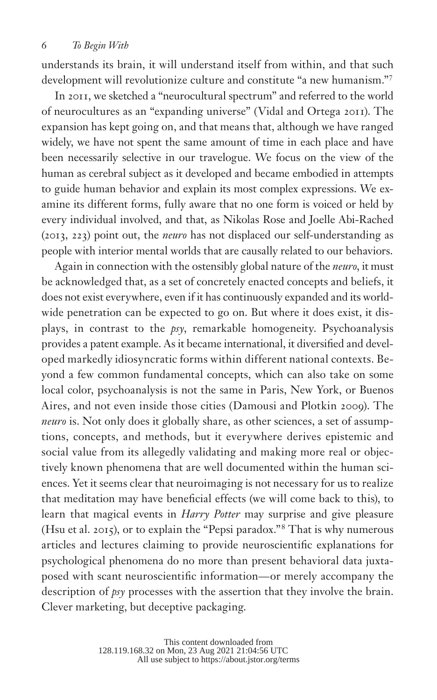understands its brain, it will understand itself from within, and that such development will revolutionize culture and constitute "a new humanism."7

In 2011, we sketched a "neurocultural spectrum" and referred to the world of neurocultures as an "expanding universe" (Vidal and Ortega 2011). The expansion has kept going on, and that means that, although we have ranged widely, we have not spent the same amount of time in each place and have been necessarily selective in our travelogue. We focus on the view of the human as cerebral subject as it developed and became embodied in attempts to guide human behavior and explain its most complex expressions. We examine its different forms, fully aware that no one form is voiced or held by every individual involved, and that, as Nikolas Rose and Joelle Abi- Rached (2013, 223) point out, the *neuro* has not displaced our self-understanding as people with interior mental worlds that are causally related to our behaviors.

Again in connection with the ostensibly global nature of the *neuro*, it must be acknowledged that, as a set of concretely enacted concepts and beliefs, it does not exist everywhere, even if it has continuously expanded and its worldwide penetration can be expected to go on. But where it does exist, it displays, in contrast to the *psy*, remarkable homogeneity. Psychoanalysis provides a patent example. As it became international, it diversified and developed markedly idiosyncratic forms within different national contexts. Beyond a few common fundamental concepts, which can also take on some local color, psychoanalysis is not the same in Paris, New York, or Buenos Aires, and not even inside those cities (Damousi and Plotkin 2009). The *neuro* is. Not only does it globally share, as other sciences, a set of assumptions, concepts, and methods, but it everywhere derives epistemic and social value from its allegedly validating and making more real or objectively known phenomena that are well documented within the human sciences. Yet it seems clear that neuroimaging is not necessary for us to realize that meditation may have beneficial effects (we will come back to this), to learn that magical events in *Harry Potter* may surprise and give pleasure (Hsu et al. 2015), or to explain the "Pepsi paradox."<sup>8</sup> That is why numerous articles and lectures claiming to provide neuroscientific explanations for psychological phenomena do no more than present behavioral data juxtaposed with scant neuroscientific information—or merely accompany the description of *psy* processes with the assertion that they involve the brain. Clever marketing, but deceptive packaging.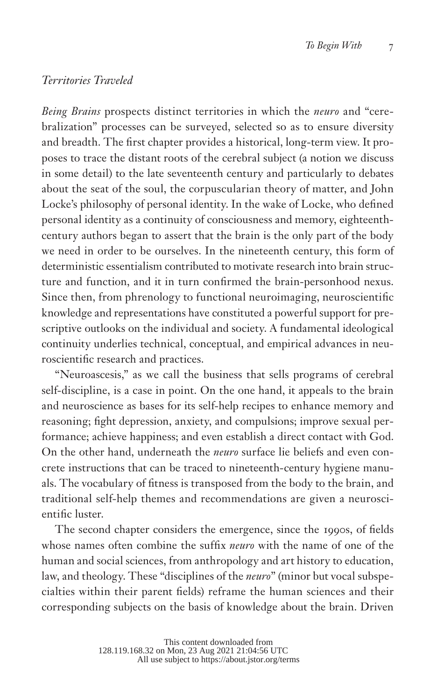## *Territories Traveled*

*Being Brains* prospects distinct territories in which the *neuro* and "cerebralization" processes can be surveyed, selected so as to ensure diversity and breadth. The first chapter provides a historical, long-term view. It proposes to trace the distant roots of the cerebral subject (a notion we discuss in some detail) to the late seventeenth century and particularly to debates about the seat of the soul, the corpuscularian theory of matter, and John Locke's philosophy of personal identity. In the wake of Locke, who defined personal identity as a continuity of consciousness and memory, eighteenthcentury authors began to assert that the brain is the only part of the body we need in order to be ourselves. In the nineteenth century, this form of deterministic essentialism contributed to motivate research into brain structure and function, and it in turn confirmed the brain- personhood nexus. Since then, from phrenology to functional neuroimaging, neuroscientific knowledge and representations have constituted a powerful support for prescriptive outlooks on the individual and society. A fundamental ideological continuity underlies technical, conceptual, and empirical advances in neuroscientific research and practices.

"Neuroascesis," as we call the business that sells programs of cerebral self- discipline, is a case in point. On the one hand, it appeals to the brain and neuroscience as bases for its self-help recipes to enhance memory and reasoning; fight depression, anxiety, and compulsions; improve sexual performance; achieve happiness; and even establish a direct contact with God. On the other hand, underneath the *neuro* surface lie beliefs and even concrete instructions that can be traced to nineteenth- century hygiene manuals. The vocabulary of fitness is transposed from the body to the brain, and traditional self- help themes and recommendations are given a neuroscientific luster.

The second chapter considers the emergence, since the 1990s, of fields whose names often combine the suffix *neuro* with the name of one of the human and social sciences, from anthropology and art history to education, law, and theology. These "disciplines of the *neuro*" (minor but vocal subspecialties within their parent fields) reframe the human sciences and their corresponding subjects on the basis of knowledge about the brain. Driven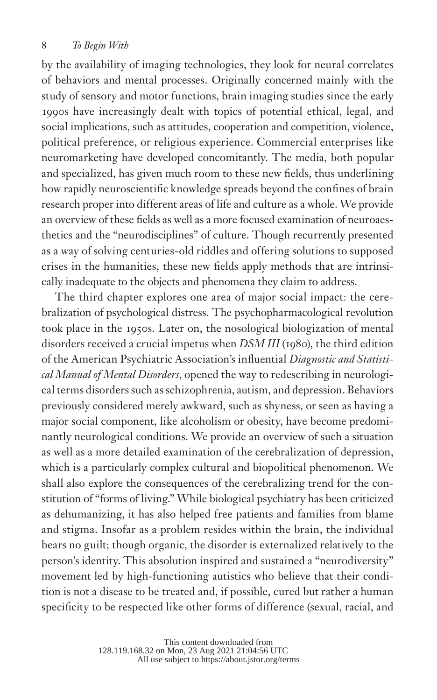by the availability of imaging technologies, they look for neural correlates of behaviors and mental processes. Originally concerned mainly with the study of sensory and motor functions, brain imaging studies since the early 1990s have increasingly dealt with topics of potential ethical, legal, and social implications, such as attitudes, cooperation and competition, violence, political preference, or religious experience. Commercial enterprises like neuromarketing have developed concomitantly. The media, both popular and specialized, has given much room to these new fields, thus underlining how rapidly neuroscientific knowledge spreads beyond the confines of brain research proper into different areas of life and culture as a whole. We provide an overview of these fields as well as a more focused examination of neuroaesthetics and the "neurodisciplines" of culture. Though recurrently presented as a way of solving centuries- old riddles and offering solutions to supposed crises in the humanities, these new fields apply methods that are intrinsically inadequate to the objects and phenomena they claim to address.

The third chapter explores one area of major social impact: the cerebralization of psychological distress. The psychopharmacological revolution took place in the 1950s. Later on, the nosological biologization of mental disorders received a crucial impetus when *DSM III* (1980), the third edition of the American Psychiatric Association's influential *Diagnostic and Statistical Manual of Mental Disorders*, opened the way to redescribing in neurological terms disorders such as schizophrenia, autism, and depression. Behaviors previously considered merely awkward, such as shyness, or seen as having a major social component, like alcoholism or obesity, have become predominantly neurological conditions. We provide an overview of such a situation as well as a more detailed examination of the cerebralization of depression, which is a particularly complex cultural and biopolitical phenomenon. We shall also explore the consequences of the cerebralizing trend for the constitution of "forms of living." While biological psychiatry has been criticized as dehumanizing, it has also helped free patients and families from blame and stigma. Insofar as a problem resides within the brain, the individual bears no guilt; though organic, the disorder is externalized relatively to the person's identity. This absolution inspired and sustained a "neurodiversity" movement led by high-functioning autistics who believe that their condition is not a disease to be treated and, if possible, cured but rather a human specificity to be respected like other forms of difference (sexual, racial, and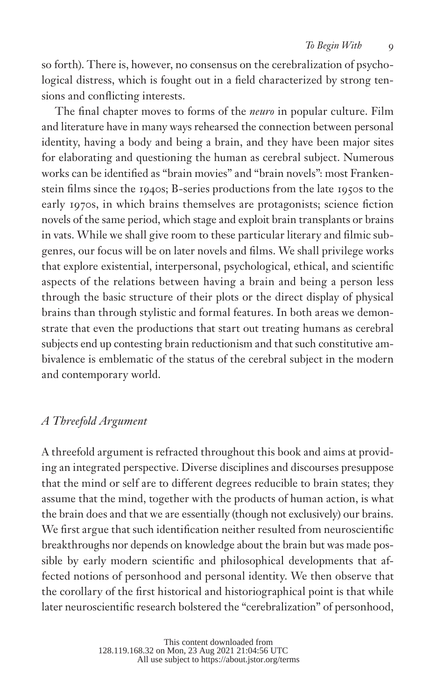so forth). There is, however, no consensus on the cerebralization of psychological distress, which is fought out in a field characterized by strong tensions and conflicting interests.

The final chapter moves to forms of the *neuro* in popular culture. Film and literature have in many ways rehearsed the connection between personal identity, having a body and being a brain, and they have been major sites for elaborating and questioning the human as cerebral subject. Numerous works can be identified as "brain movies" and "brain novels": most Frankenstein films since the 1940s; B- series productions from the late 1950s to the early 1970s, in which brains themselves are protagonists; science fiction novels of the same period, which stage and exploit brain transplants or brains in vats. While we shall give room to these particular literary and filmic subgenres, our focus will be on later novels and films. We shall privilege works that explore existential, interpersonal, psychological, ethical, and scientific aspects of the relations between having a brain and being a person less through the basic structure of their plots or the direct display of physical brains than through stylistic and formal features. In both areas we demonstrate that even the productions that start out treating humans as cerebral subjects end up contesting brain reductionism and that such constitutive ambivalence is emblematic of the status of the cerebral subject in the modern and contemporary world.

## *A Threefold Argument*

A threefold argument is refracted throughout this book and aims at providing an integrated perspective. Diverse disciplines and discourses presuppose that the mind or self are to different degrees reducible to brain states; they assume that the mind, together with the products of human action, is what the brain does and that we are essentially (though not exclusively) our brains. We first argue that such identification neither resulted from neuroscientific breakthroughs nor depends on knowledge about the brain but was made possible by early modern scientific and philosophical developments that affected notions of personhood and personal identity. We then observe that the corollary of the first historical and historiographical point is that while later neuroscientific research bolstered the "cerebralization" of personhood,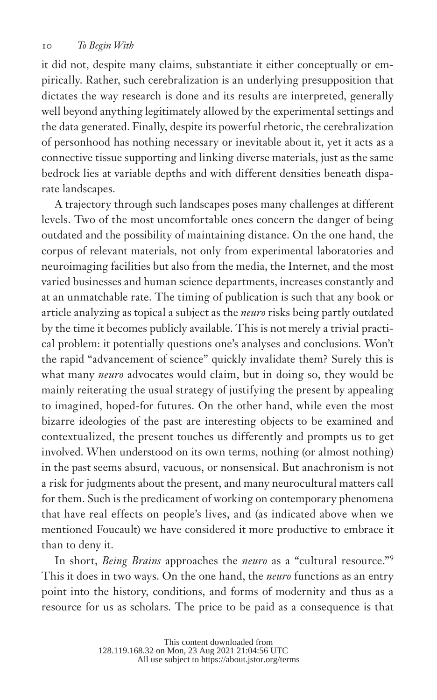it did not, despite many claims, substantiate it either conceptually or empirically. Rather, such cerebralization is an underlying presupposition that dictates the way research is done and its results are interpreted, generally well beyond anything legitimately allowed by the experimental settings and the data generated. Finally, despite its powerful rhetoric, the cerebralization of personhood has nothing necessary or inevitable about it, yet it acts as a connective tissue supporting and linking diverse materials, just as the same bedrock lies at variable depths and with different densities beneath disparate landscapes.

A trajectory through such landscapes poses many challenges at different levels. Two of the most uncomfortable ones concern the danger of being outdated and the possibility of maintaining distance. On the one hand, the corpus of relevant materials, not only from experimental laboratories and neuroimaging facilities but also from the media, the Internet, and the most varied businesses and human science departments, increases constantly and at an unmatchable rate. The timing of publication is such that any book or article analyzing as topical a subject as the *neuro* risks being partly outdated by the time it becomes publicly available. This is not merely a trivial practical problem: it potentially questions one's analyses and conclusions. Won't the rapid "advancement of science" quickly invalidate them? Surely this is what many *neuro* advocates would claim, but in doing so, they would be mainly reiterating the usual strategy of justifying the present by appealing to imagined, hoped-for futures. On the other hand, while even the most bizarre ideologies of the past are interesting objects to be examined and contextualized, the present touches us differently and prompts us to get involved. When understood on its own terms, nothing (or almost nothing) in the past seems absurd, vacuous, or nonsensical. But anachronism is not a risk for judgments about the present, and many neurocultural matters call for them. Such is the predicament of working on contemporary phenomena that have real effects on people's lives, and (as indicated above when we mentioned Foucault) we have considered it more productive to embrace it than to deny it.

In short, *Being Brains* approaches the *neuro* as a "cultural resource."9 This it does in two ways. On the one hand, the *neuro* functions as an entry point into the history, conditions, and forms of modernity and thus as a resource for us as scholars. The price to be paid as a consequence is that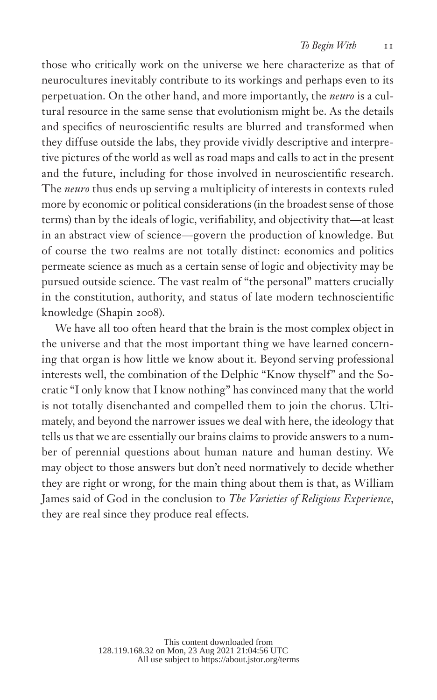those who critically work on the universe we here characterize as that of neurocultures inevitably contribute to its workings and perhaps even to its perpetuation. On the other hand, and more importantly, the *neuro* is a cultural resource in the same sense that evolutionism might be. As the details and specifics of neuroscientific results are blurred and transformed when they diffuse outside the labs, they provide vividly descriptive and interpretive pictures of the world as well as road maps and calls to act in the present and the future, including for those involved in neuroscientific research. The *neuro* thus ends up serving a multiplicity of interests in contexts ruled more by economic or political considerations (in the broadest sense of those terms) than by the ideals of logic, verifiability, and objectivity that—at least in an abstract view of science— govern the production of knowledge. But of course the two realms are not totally distinct: economics and politics permeate science as much as a certain sense of logic and objectivity may be pursued outside science. The vast realm of "the personal" matters crucially in the constitution, authority, and status of late modern technoscientific knowledge (Shapin 2008).

We have all too often heard that the brain is the most complex object in the universe and that the most important thing we have learned concerning that organ is how little we know about it. Beyond serving professional interests well, the combination of the Delphic "Know thyself" and the Socratic "I only know that I know nothing" has convinced many that the world is not totally disenchanted and compelled them to join the chorus. Ultimately, and beyond the narrower issues we deal with here, the ideology that tells us that we are essentially our brains claims to provide answers to a number of perennial questions about human nature and human destiny. We may object to those answers but don't need normatively to decide whether they are right or wrong, for the main thing about them is that, as William James said of God in the conclusion to *The Varieties of Religious Experience*, they are real since they produce real effects.